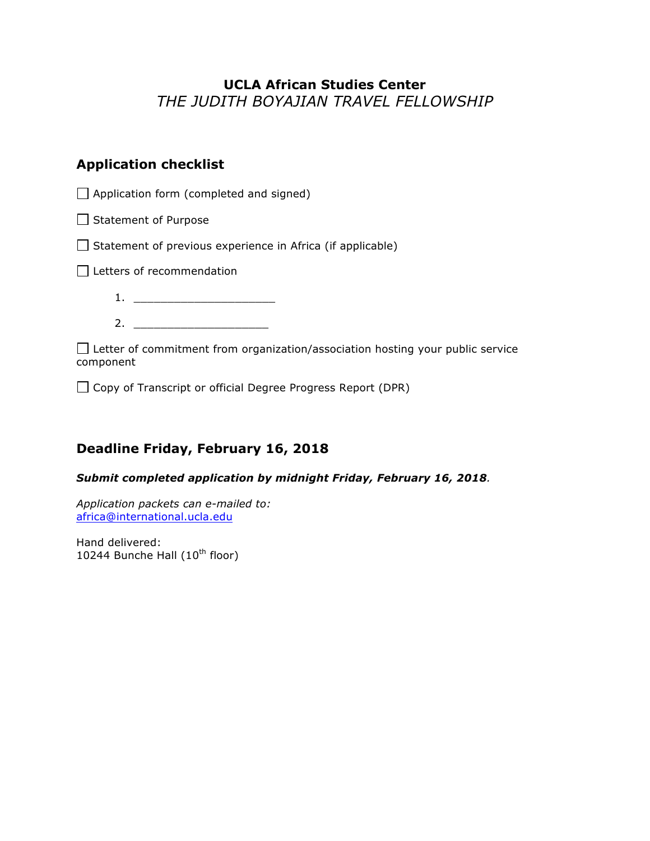# **UCLA African Studies Center**  *THE JUDITH BOYAJIAN TRAVEL FELLOWSHIP*

## **Application checklist**

 $\Box$  Application form (completed and signed)

 $\Box$  Statement of Purpose

 $\Box$  Statement of previous experience in Africa (if applicable)

Letters of recommendation

1. \_\_\_\_\_\_\_\_\_\_\_\_\_\_\_\_\_\_\_\_\_ 2. \_\_\_\_\_\_\_\_\_\_\_\_\_\_\_\_\_\_\_\_

 $\Box$  Letter of commitment from organization/association hosting your public service component

 $\Box$  Copy of Transcript or official Degree Progress Report (DPR)

## **Deadline Friday, February 16, 2018**

### *Submit completed application by midnight Friday, February 16, 2018.*

*Application packets can e-mailed to:* africa@international.ucla.edu

Hand delivered: 10244 Bunche Hall  $(10^{th}$  floor)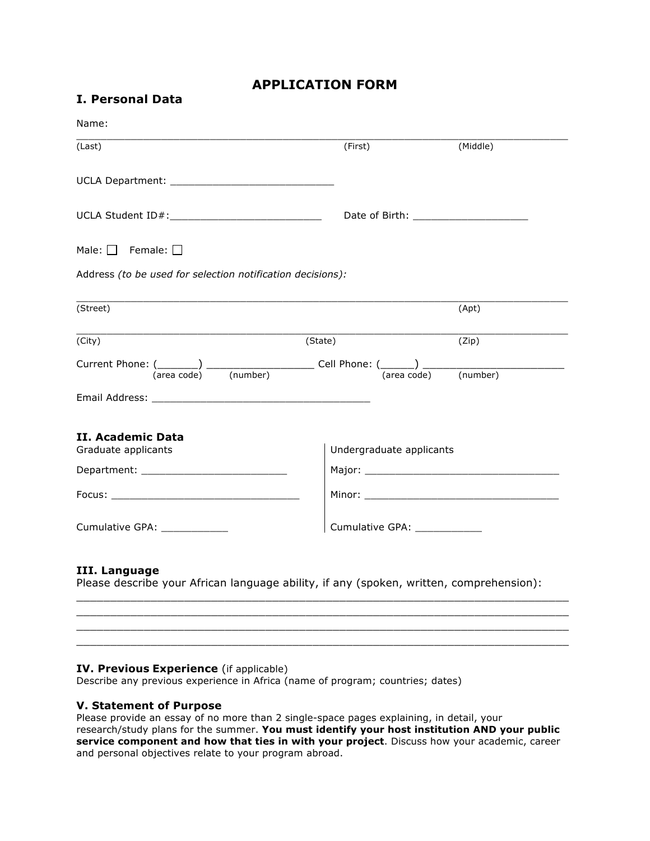### **APPLICATION FORM**

| Name:                                                                                                                          |         |                                  |  |
|--------------------------------------------------------------------------------------------------------------------------------|---------|----------------------------------|--|
| (Last)                                                                                                                         | (First) | (Middle)                         |  |
|                                                                                                                                |         |                                  |  |
|                                                                                                                                |         |                                  |  |
| Male: $\Box$ Female: $\Box$                                                                                                    |         |                                  |  |
| Address (to be used for selection notification decisions):                                                                     |         |                                  |  |
| (Street)                                                                                                                       |         | (Apt)                            |  |
| <u> 1989 - Johann John Stone, markin film yn y brening yn y brening yn y brening yn y brening yn y brening y bre</u><br>(City) | (State) | (Zip)                            |  |
|                                                                                                                                |         | $(\text{area code})$<br>(number) |  |
|                                                                                                                                |         |                                  |  |
| II. Academic Data                                                                                                              |         |                                  |  |
| Graduate applicants                                                                                                            |         | Undergraduate applicants         |  |
|                                                                                                                                |         |                                  |  |
|                                                                                                                                |         |                                  |  |
|                                                                                                                                |         |                                  |  |

Please describe your African language ability, if any (spoken, written, comprehension):

\_\_\_\_\_\_\_\_\_\_\_\_\_\_\_\_\_\_\_\_\_\_\_\_\_\_\_\_\_\_\_\_\_\_\_\_\_\_\_\_\_\_\_\_\_\_\_\_\_\_\_\_\_\_\_\_\_\_\_\_\_\_\_\_\_\_\_\_\_\_\_\_\_ \_\_\_\_\_\_\_\_\_\_\_\_\_\_\_\_\_\_\_\_\_\_\_\_\_\_\_\_\_\_\_\_\_\_\_\_\_\_\_\_\_\_\_\_\_\_\_\_\_\_\_\_\_\_\_\_\_\_\_\_\_\_\_\_\_\_\_\_\_\_\_\_\_ \_\_\_\_\_\_\_\_\_\_\_\_\_\_\_\_\_\_\_\_\_\_\_\_\_\_\_\_\_\_\_\_\_\_\_\_\_\_\_\_\_\_\_\_\_\_\_\_\_\_\_\_\_\_\_\_\_\_\_\_\_\_\_\_\_\_\_\_\_\_\_\_\_ \_\_\_\_\_\_\_\_\_\_\_\_\_\_\_\_\_\_\_\_\_\_\_\_\_\_\_\_\_\_\_\_\_\_\_\_\_\_\_\_\_\_\_\_\_\_\_\_\_\_\_\_\_\_\_\_\_\_\_\_\_\_\_\_\_\_\_\_\_\_\_\_\_

#### **IV. Previous Experience** (if applicable)

Describe any previous experience in Africa (name of program; countries; dates)

#### **V. Statement of Purpose**

Please provide an essay of no more than 2 single-space pages explaining, in detail, your research/study plans for the summer. **You must identify your host institution AND your public service component and how that ties in with your project**. Discuss how your academic, career and personal objectives relate to your program abroad.